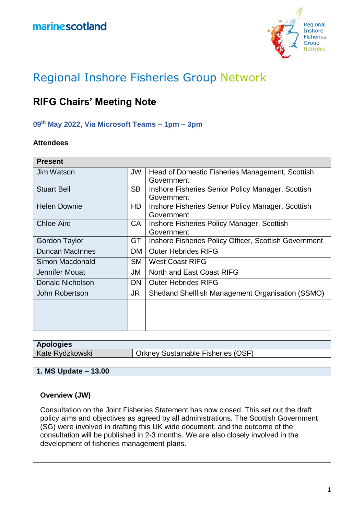

# Regional Inshore Fisheries Group Network

# **RIFG Chairs' Meeting Note**

# **09th May 2022, Via Microsoft Teams – 1pm – 3pm**

#### **Attendees**

| <b>Present</b>         |           |                                                       |
|------------------------|-----------|-------------------------------------------------------|
| Jim Watson             | JW        | Head of Domestic Fisheries Management, Scottish       |
|                        |           | Government                                            |
| <b>Stuart Bell</b>     | <b>SB</b> | Inshore Fisheries Senior Policy Manager, Scottish     |
|                        |           | Government                                            |
| <b>Helen Downie</b>    | HD        | Inshore Fisheries Senior Policy Manager, Scottish     |
|                        |           | Government                                            |
| <b>Chloe Aird</b>      | CA        | Inshore Fisheries Policy Manager, Scottish            |
|                        |           | Government                                            |
| Gordon Taylor          | GT        | Inshore Fisheries Policy Officer, Scottish Government |
| <b>Duncan MacInnes</b> | <b>DM</b> | <b>Outer Hebrides RIFG</b>                            |
| Simon Macdonald        | <b>SM</b> | <b>West Coast RIFG</b>                                |
| Jennifer Mouat         | JM        | North and East Coast RIFG                             |
| Donald Nicholson       | <b>DN</b> | <b>Outer Hebrides RIFG</b>                            |
| John Robertson         | JR        | Shetland Shellfish Management Organisation (SSMO)     |
|                        |           |                                                       |
|                        |           |                                                       |
|                        |           |                                                       |

| <b>Apologies</b> |                                           |
|------------------|-------------------------------------------|
| Kate Rydzkowski  | <b>Orkney Sustainable Fisheries (OSF)</b> |

# **1. MS Update – 13.00**

#### **Overview (JW)**

Consultation on the Joint Fisheries Statement has now closed. This set out the draft policy aims and objectives as agreed by all administrations. The Scottish Government (SG) were involved in drafting this UK wide document, and the outcome of the consultation will be published in 2-3 months. We are also closely involved in the development of fisheries management plans.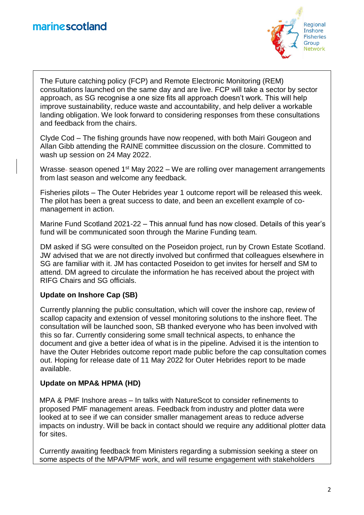

The Future catching policy (FCP) and Remote Electronic Monitoring (REM) consultations launched on the same day and are live. FCP will take a sector by sector approach, as SG recognise a one size fits all approach doesn't work. This will help improve sustainability, reduce waste and accountability, and help deliver a workable landing obligation. We look forward to considering responses from these consultations and feedback from the chairs.

Clyde Cod – The fishing grounds have now reopened, with both Mairi Gougeon and Allan Gibb attending the RAINE committee discussion on the closure. Committed to wash up session on 24 May 2022.

Wrasse-season opened  $1<sup>st</sup>$  May 2022 – We are rolling over management arrangements from last season and welcome any feedback.

Fisheries pilots – The Outer Hebrides year 1 outcome report will be released this week. The pilot has been a great success to date, and been an excellent example of comanagement in action.

Marine Fund Scotland 2021-22 – This annual fund has now closed. Details of this year's fund will be communicated soon through the Marine Funding team.

DM asked if SG were consulted on the Poseidon project, run by Crown Estate Scotland. JW advised that we are not directly involved but confirmed that colleagues elsewhere in SG are familiar with it. JM has contacted Poseidon to get invites for herself and SM to attend. DM agreed to circulate the information he has received about the project with RIFG Chairs and SG officials.

# **Update on Inshore Cap (SB)**

Currently planning the public consultation, which will cover the inshore cap, review of scallop capacity and extension of vessel monitoring solutions to the inshore fleet. The consultation will be launched soon, SB thanked everyone who has been involved with this so far. Currently considering some small technical aspects, to enhance the document and give a better idea of what is in the pipeline. Advised it is the intention to have the Outer Hebrides outcome report made public before the cap consultation comes out. Hoping for release date of 11 May 2022 for Outer Hebrides report to be made available.

# **Update on MPA& HPMA (HD)**

MPA & PMF Inshore areas – In talks with NatureScot to consider refinements to proposed PMF management areas. Feedback from industry and plotter data were looked at to see if we can consider smaller management areas to reduce adverse impacts on industry. Will be back in contact should we require any additional plotter data for sites.

Currently awaiting feedback from Ministers regarding a submission seeking a steer on some aspects of the MPA/PMF work, and will resume engagement with stakeholders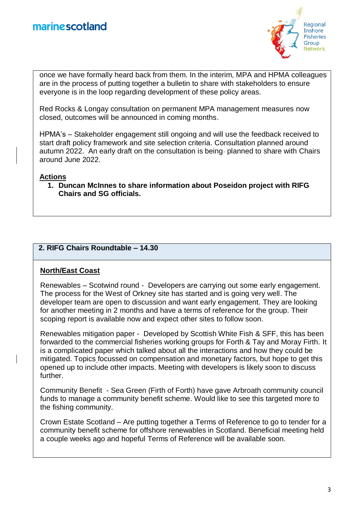

once we have formally heard back from them. In the interim, MPA and HPMA colleagues are in the process of putting together a bulletin to share with stakeholders to ensure everyone is in the loop regarding development of these policy areas.

Red Rocks & Longay consultation on permanent MPA management measures now closed, outcomes will be announced in coming months.

HPMA's – Stakeholder engagement still ongoing and will use the feedback received to start draft policy framework and site selection criteria. Consultation planned around autumn 2022. An early draft on the consultation is being-planned to share with Chairs around June 2022.

#### **Actions**

**1. Duncan McInnes to share information about Poseidon project with RIFG Chairs and SG officials.**

# **2. RIFG Chairs Roundtable – 14.30**

# **North/East Coast**

Renewables – Scotwind round - Developers are carrying out some early engagement. The process for the West of Orkney site has started and is going very well. The developer team are open to discussion and want early engagement. They are looking for another meeting in 2 months and have a terms of reference for the group. Their scoping report is available now and expect other sites to follow soon.

Renewables mitigation paper - Developed by Scottish White Fish & SFF, this has been forwarded to the commercial fisheries working groups for Forth & Tay and Moray Firth. It is a complicated paper which talked about all the interactions and how they could be mitigated. Topics focussed on compensation and monetary factors, but hope to get this opened up to include other impacts. Meeting with developers is likely soon to discuss further.

Community Benefit - Sea Green (Firth of Forth) have gave Arbroath community council funds to manage a community benefit scheme. Would like to see this targeted more to the fishing community.

Crown Estate Scotland – Are putting together a Terms of Reference to go to tender for a community benefit scheme for offshore renewables in Scotland. Beneficial meeting held a couple weeks ago and hopeful Terms of Reference will be available soon.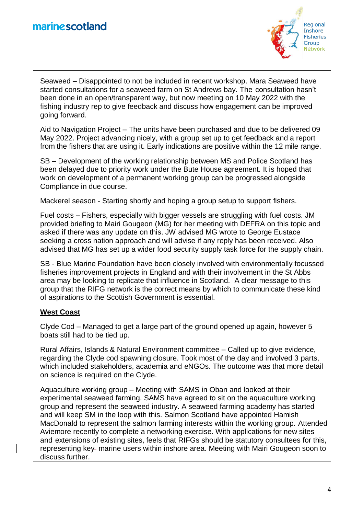

Seaweed – Disappointed to not be included in recent workshop. Mara Seaweed have started consultations for a seaweed farm on St Andrews bay. The consultation hasn't been done in an open/transparent way, but now meeting on 10 May 2022 with the fishing industry rep to give feedback and discuss how engagement can be improved going forward.

Aid to Navigation Project – The units have been purchased and due to be delivered 09 May 2022. Project advancing nicely, with a group set up to get feedback and a report from the fishers that are using it. Early indications are positive within the 12 mile range.

SB – Development of the working relationship between MS and Police Scotland has been delayed due to priority work under the Bute House agreement. It is hoped that work on development of a permanent working group can be progressed alongside Compliance in due course.

Mackerel season - Starting shortly and hoping a group setup to support fishers.

Fuel costs – Fishers, especially with bigger vessels are struggling with fuel costs. JM provided briefing to Mairi Gougeon (MG) for her meeting with DEFRA on this topic and asked if there was any update on this. JW advised MG wrote to George Eustace seeking a cross nation approach and will advise if any reply has been received. Also advised that MG has set up a wider food security supply task force for the supply chain.

SB - Blue Marine Foundation have been closely involved with environmentally focussed fisheries improvement projects in England and with their involvement in the St Abbs area may be looking to replicate that influence in Scotland. A clear message to this group that the RIFG network is the correct means by which to communicate these kind of aspirations to the Scottish Government is essential.

#### **West Coast**

Clyde Cod – Managed to get a large part of the ground opened up again, however 5 boats still had to be tied up.

Rural Affairs, Islands & Natural Environment committee – Called up to give evidence, regarding the Clyde cod spawning closure. Took most of the day and involved 3 parts, which included stakeholders, academia and eNGOs. The outcome was that more detail on science is required on the Clyde.

Aquaculture working group – Meeting with SAMS in Oban and looked at their experimental seaweed farming. SAMS have agreed to sit on the aquaculture working group and represent the seaweed industry. A seaweed farming academy has started and will keep SM in the loop with this. Salmon Scotland have appointed Hamish MacDonald to represent the salmon farming interests within the working group. Attended Aviemore recently to complete a networking exercise. With applications for new sites and extensions of existing sites, feels that RIFGs should be statutory consultees for this, representing key- marine users within inshore area. Meeting with Mairi Gougeon soon to discuss further.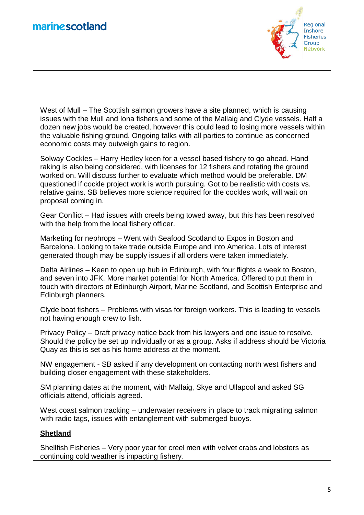

West of Mull – The Scottish salmon growers have a site planned, which is causing issues with the Mull and Iona fishers and some of the Mallaig and Clyde vessels. Half a dozen new jobs would be created, however this could lead to losing more vessels within the valuable fishing ground. Ongoing talks with all parties to continue as concerned economic costs may outweigh gains to region.

Solway Cockles – Harry Hedley keen for a vessel based fishery to go ahead. Hand raking is also being considered, with licenses for 12 fishers and rotating the ground worked on. Will discuss further to evaluate which method would be preferable. DM questioned if cockle project work is worth pursuing. Got to be realistic with costs vs. relative gains. SB believes more science required for the cockles work, will wait on proposal coming in.

Gear Conflict – Had issues with creels being towed away, but this has been resolved with the help from the local fishery officer.

Marketing for nephrops – Went with Seafood Scotland to Expos in Boston and Barcelona. Looking to take trade outside Europe and into America. Lots of interest generated though may be supply issues if all orders were taken immediately.

Delta Airlines – Keen to open up hub in Edinburgh, with four flights a week to Boston, and seven into JFK. More market potential for North America. Offered to put them in touch with directors of Edinburgh Airport, Marine Scotland, and Scottish Enterprise and Edinburgh planners.

Clyde boat fishers – Problems with visas for foreign workers. This is leading to vessels not having enough crew to fish.

Privacy Policy – Draft privacy notice back from his lawyers and one issue to resolve. Should the policy be set up individually or as a group. Asks if address should be Victoria Quay as this is set as his home address at the moment.

NW engagement - SB asked if any development on contacting north west fishers and building closer engagement with these stakeholders.

SM planning dates at the moment, with Mallaig, Skye and Ullapool and asked SG officials attend, officials agreed.

West coast salmon tracking – underwater receivers in place to track migrating salmon with radio tags, issues with entanglement with submerged buoys.

# **Shetland**

Shellfish Fisheries – Very poor year for creel men with velvet crabs and lobsters as continuing cold weather is impacting fishery.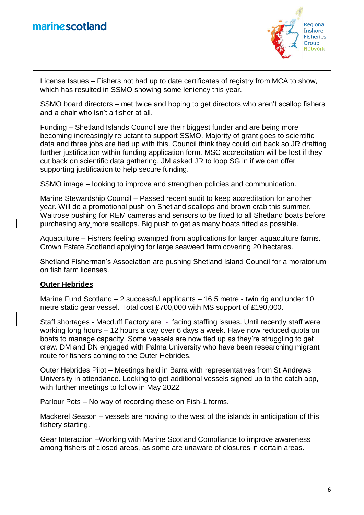

License Issues – Fishers not had up to date certificates of registry from MCA to show, which has resulted in SSMO showing some leniency this year.

SSMO board directors – met twice and hoping to get directors who aren't scallop fishers and a chair who isn't a fisher at all.

Funding – Shetland Islands Council are their biggest funder and are being more becoming increasingly reluctant to support SSMO. Majority of grant goes to scientific data and three jobs are tied up with this. Council think they could cut back so JR drafting further justification within funding application form. MSC accreditation will be lost if they cut back on scientific data gathering. JM asked JR to loop SG in if we can offer supporting justification to help secure funding.

SSMO image – looking to improve and strengthen policies and communication.

Marine Stewardship Council – Passed recent audit to keep accreditation for another year. Will do a promotional push on Shetland scallops and brown crab this summer. Waitrose pushing for REM cameras and sensors to be fitted to all Shetland boats before purchasing any more scallops. Big push to get as many boats fitted as possible.

Aquaculture – Fishers feeling swamped from applications for larger aquaculture farms. Crown Estate Scotland applying for large seaweed farm covering 20 hectares.

Shetland Fisherman's Association are pushing Shetland Island Council for a moratorium on fish farm licenses.

# **Outer Hebrides**

Marine Fund Scotland – 2 successful applicants – 16.5 metre - twin rig and under 10 metre static gear vessel. Total cost £700,000 with MS support of £190,000.

Staff shortages - Macduff Factory are—facing staffing issues. Until recently staff were working long hours – 12 hours a day over 6 days a week. Have now reduced quota on boats to manage capacity. Some vessels are now tied up as they're struggling to get crew. DM and DN engaged with Palma University who have been researching migrant route for fishers coming to the Outer Hebrides.

Outer Hebrides Pilot – Meetings held in Barra with representatives from St Andrews University in attendance. Looking to get additional vessels signed up to the catch app, with further meetings to follow in May 2022.

Parlour Pots – No way of recording these on Fish-1 forms.

Mackerel Season – vessels are moving to the west of the islands in anticipation of this fishery starting.

Gear Interaction –Working with Marine Scotland Compliance to improve awareness among fishers of closed areas, as some are unaware of closures in certain areas.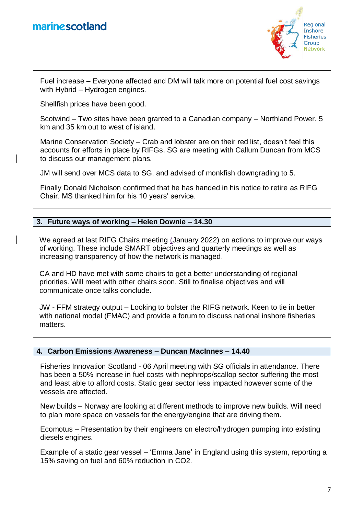

Fuel increase – Everyone affected and DM will talk more on potential fuel cost savings with Hybrid – Hydrogen engines.

Shellfish prices have been good.

Scotwind – Two sites have been granted to a Canadian company – Northland Power. 5 km and 35 km out to west of island.

Marine Conservation Society – Crab and lobster are on their red list, doesn't feel this accounts for efforts in place by RIFGs. SG are meeting with Callum Duncan from MCS to discuss our management plans.

JM will send over MCS data to SG, and advised of monkfish downgrading to 5.

Finally Donald Nicholson confirmed that he has handed in his notice to retire as RIFG Chair. MS thanked him for his 10 years' service.

# **3. Future ways of working – Helen Downie – 14.30**

We agreed at last RIFG Chairs meeting (January 2022) on actions to improve our ways of working. These include SMART objectives and quarterly meetings as well as increasing transparency of how the network is managed.

CA and HD have met with some chairs to get a better understanding of regional priorities. Will meet with other chairs soon. Still to finalise objectives and will communicate once talks conclude.

JW - FFM strategy output – Looking to bolster the RIFG network. Keen to tie in better with national model (FMAC) and provide a forum to discuss national inshore fisheries matters.

#### **4. Carbon Emissions Awareness – Duncan MacInnes – 14.40**

Fisheries Innovation Scotland - 06 April meeting with SG officials in attendance. There has been a 50% increase in fuel costs with nephrops/scallop sector suffering the most and least able to afford costs. Static gear sector less impacted however some of the vessels are affected.

New builds – Norway are looking at different methods to improve new builds. Will need to plan more space on vessels for the energy/engine that are driving them.

Ecomotus – Presentation by their engineers on electro/hydrogen pumping into existing diesels engines.

Example of a static gear vessel – 'Emma Jane' in England using this system, reporting a 15% saving on fuel and 60% reduction in CO2.